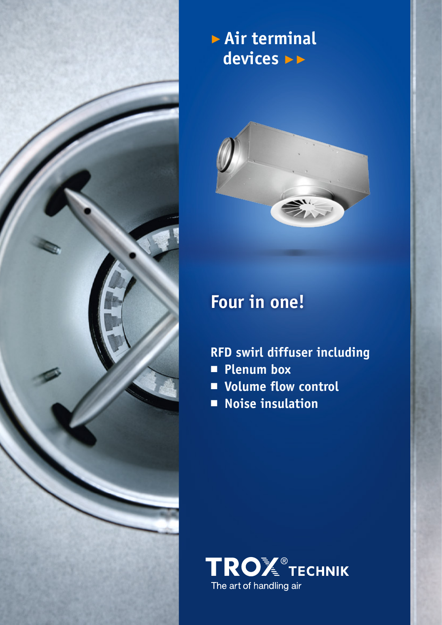

## ▶ **Air terminal devices** ▶▶



# **Four in one!**

- **RFD swirl diffuser including**
- **Plenum box**
- **Volume flow control**
- **Noise insulation**

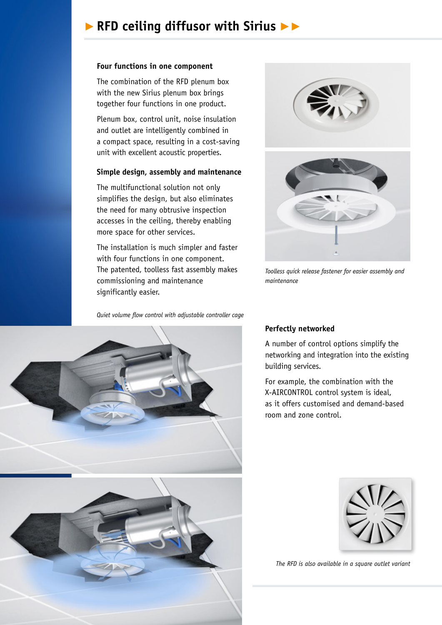### ▶ **RFD ceiling diffusor with Sirius** ▶▶

#### **Four functions in one component**

The combination of the RFD plenum box with the new Sirius plenum box brings together four functions in one product.

Plenum box, control unit, noise insulation and outlet are intelligently combined in a compact space, resulting in a cost-saving unit with excellent acoustic properties.

#### **Simple design, assembly and maintenance**

The multifunctional solution not only simplifies the design, but also eliminates the need for many obtrusive inspection accesses in the ceiling, thereby enabling more space for other services.

The installation is much simpler and faster with four functions in one component. The patented, toolless fast assembly makes commissioning and maintenance significantly easier.

*Quiet volume flow control with adjustable controller cage*



*Toolless quick release fastener for easier assembly and maintenance*



A number of control options simplify the networking and integration into the existing building services.

For example, the combination with the X-AIRCONTROL control system is ideal, as it offers customised and demand-based room and zone control.





*The RFD is also available in a square outlet variant*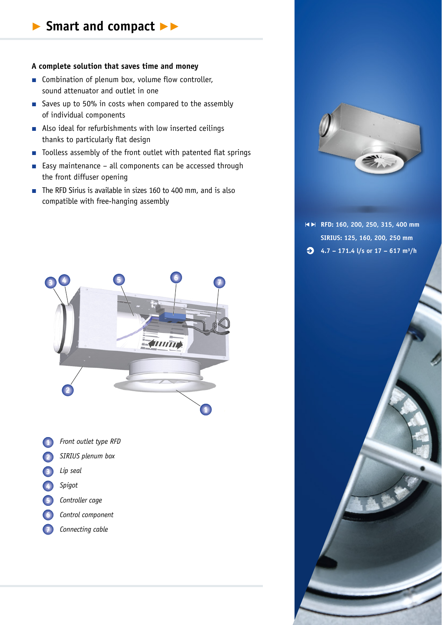#### **A complete solution that saves time and money**

- Combination of plenum box, volume flow controller, sound attenuator and outlet in one
- Saves up to 50% in costs when compared to the assembly of individual components
- Also ideal for refurbishments with low inserted ceilings thanks to particularly flat design
- Toolless assembly of the front outlet with patented flat springs
- Easy maintenance all components can be accessed through the front diffuser opening
- The RFD Sirius is available in sizes 160 to 400 mm, and is also compatible with free-hanging assembly



- **1** *Front outlet type RFD*
- **2** *SIRIUS plenum box*
- **3** *Lip seal*
- **4** *Spigot*
- **5** *Controller cage*
- **6** *Control component*
- **7** *Connecting cable*



**RFD: 160, 200, 250, 315, 400 mm SIRIUS: 125, 160, 200, 250 mm 4.7 – 171.4 l/s or 17 – 617 m³/h**